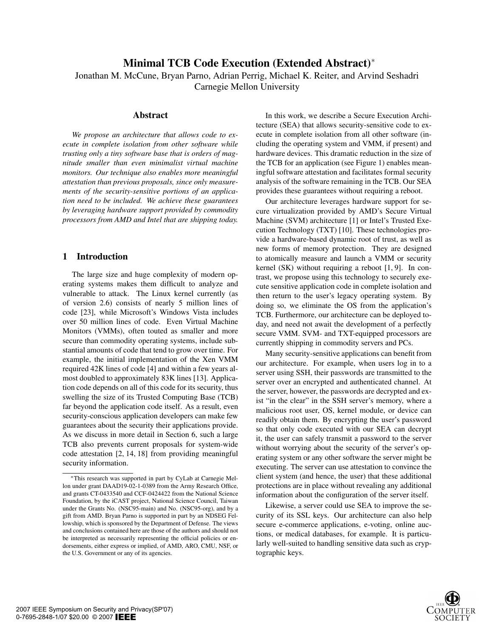# **Minimal TCB Code Execution (Extended Abstract)**<sup>∗</sup>

Jonathan M. McCune, Bryan Parno, Adrian Perrig, Michael K. Reiter, and Arvind Seshadri Carnegie Mellon University

### **Abstract**

*We propose an architecture that allows code to execute in complete isolation from other software while trusting only a tiny software base that is orders of magnitude smaller than even minimalist virtual machine monitors. Our technique also enables more meaningful attestation than previous proposals, since only measurements of the security-sensitive portions of an application need to be included. We achieve these guarantees by leveraging hardware support provided by commodity processors from AMD and Intel that are shipping today.*

### **1 Introduction**

The large size and huge complexity of modern operating systems makes them difficult to analyze and vulnerable to attack. The Linux kernel currently (as of version 2.6) consists of nearly 5 million lines of code [23], while Microsoft's Windows Vista includes over 50 million lines of code. Even Virtual Machine Monitors (VMMs), often touted as smaller and more secure than commodity operating systems, include substantial amounts of code that tend to grow over time. For example, the initial implementation of the Xen VMM required 42K lines of code [4] and within a few years almost doubled to approximately 83K lines [13]. Application code depends on all of this code for its security, thus swelling the size of its Trusted Computing Base (TCB) far beyond the application code itself. As a result, even security-conscious application developers can make few guarantees about the security their applications provide. As we discuss in more detail in Section 6, such a large TCB also prevents current proposals for system-wide code attestation [2, 14, 18] from providing meaningful security information.

In this work, we describe a Secure Execution Architecture (SEA) that allows security-sensitive code to execute in complete isolation from all other software (including the operating system and VMM, if present) and hardware devices. This dramatic reduction in the size of the TCB for an application (see Figure 1) enables meaningful software attestation and facilitates formal security analysis of the software remaining in the TCB. Our SEA provides these guarantees without requiring a reboot.

Our architecture leverages hardware support for secure virtualization provided by AMD's Secure Virtual Machine (SVM) architecture [1] or Intel's Trusted Execution Technology (TXT) [10]. These technologies provide a hardware-based dynamic root of trust, as well as new forms of memory protection. They are designed to atomically measure and launch a VMM or security kernel  $(SK)$  without requiring a reboot  $[1, 9]$ . In contrast, we propose using this technology to securely execute sensitive application code in complete isolation and then return to the user's legacy operating system. By doing so, we eliminate the OS from the application's TCB. Furthermore, our architecture can be deployed today, and need not await the development of a perfectly secure VMM. SVM- and TXT-equipped processors are currently shipping in commodity servers and PCs.

Many security-sensitive applications can benefit from our architecture. For example, when users log in to a server using SSH, their passwords are transmitted to the server over an encrypted and authenticated channel. At the server, however, the passwords are decrypted and exist "in the clear" in the SSH server's memory, where a malicious root user, OS, kernel module, or device can readily obtain them. By encrypting the user's password so that only code executed with our SEA can decrypt it, the user can safely transmit a password to the server without worrying about the security of the server's operating system or any other software the server might be executing. The server can use attestation to convince the client system (and hence, the user) that these additional protections are in place without revealing any additional information about the configuration of the server itself.

Likewise, a server could use SEA to improve the security of its SSL keys. Our architecture can also help secure e-commerce applications, e-voting, online auctions, or medical databases, for example. It is particularly well-suited to handling sensitive data such as cryptographic keys.



<sup>∗</sup>This research was supported in part by CyLab at Carnegie Mellon under grant DAAD19-02-1-0389 from the Army Research Office, and grants CT-0433540 and CCF-0424422 from the National Science Foundation, by the iCAST project, National Science Council, Taiwan under the Grants No. (NSC95-main) and No. (NSC95-org), and by a gift from AMD. Bryan Parno is supported in part by an NDSEG Fellowship, which is sponsored by the Department of Defense. The views and conclusions contained here are those of the authors and should not be interpreted as necessarily representing the official policies or endorsements, either express or implied, of AMD, ARO, CMU, NSF, or the U.S. Government or any of its agencies.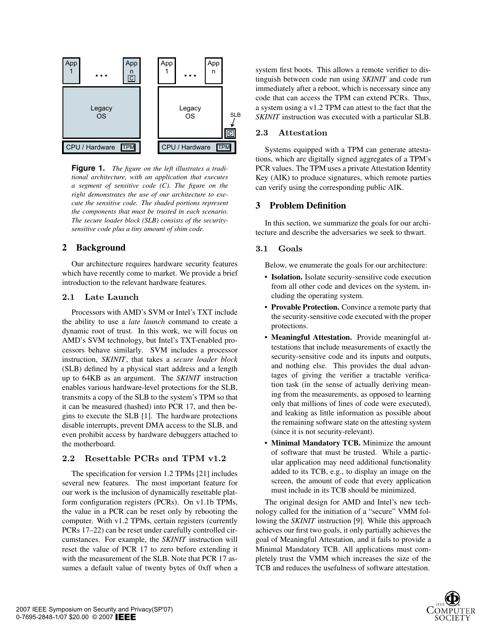

**Figure 1.** *The figure on the left illustrates a traditional architecture, with an application that executes a segment of sensitive code (C). The figure on the right demonstrates the use of our architecture to execute the sensitive code. The shaded portions represent the components that must be trusted in each scenario. The secure loader block (SLB) consists of the securitysensitive code plus a tiny amount of shim code.*

# **2 Background**

Our architecture requires hardware security features which have recently come to market. We provide a brief introduction to the relevant hardware features.

# 2.1 Late Launch

Processors with AMD's SVM or Intel's TXT include the ability to use a *late launch* command to create a dynamic root of trust. In this work, we will focus on AMD's SVM technology, but Intel's TXT-enabled processors behave similarly. SVM includes a processor instruction, *SKINIT*, that takes a *secure loader block* (SLB) defined by a physical start address and a length up to 64KB as an argument. The *SKINIT* instruction enables various hardware-level protections for the SLB, transmits a copy of the SLB to the system's TPM so that it can be measured (hashed) into PCR 17, and then begins to execute the SLB [1]. The hardware protections disable interrupts, prevent DMA access to the SLB, and even prohibit access by hardware debuggers attached to the motherboard.

# 2.2 Resettable PCRs and TPM v1.2

The specification for version 1.2 TPMs [21] includes several new features. The most important feature for our work is the inclusion of dynamically resettable platform configuration registers (PCRs). On v1.1b TPMs, the value in a PCR can be reset only by rebooting the computer. With v1.2 TPMs, certain registers (currently PCRs 17–22) can be reset under carefully controlled circumstances. For example, the *SKINIT* instruction will reset the value of PCR 17 to zero before extending it with the measurement of the SLB. Note that PCR 17 assumes a default value of twenty bytes of 0xff when a system first boots. This allows a remote verifier to distinguish between code run using *SKINIT* and code run immediately after a reboot, which is necessary since any code that can access the TPM can extend PCRs. Thus, a system using a v1.2 TPM can attest to the fact that the *SKINIT* instruction was executed with a particular SLB.

### 2.3 Attestation

Systems equipped with a TPM can generate attestations, which are digitally signed aggregates of a TPM's PCR values. The TPM uses a private Attestation Identity Key (AIK) to produce signatures, which remote parties can verify using the corresponding public AIK.

# **3 Problem Definition**

In this section, we summarize the goals for our architecture and describe the adversaries we seek to thwart.

# 3.1 Goals

Below, we enumerate the goals for our architecture:

- **Isolation.** Isolate security-sensitive code execution from all other code and devices on the system, including the operating system.
- **Provable Protection.** Convince a remote party that the security-sensitive code executed with the proper protections.
- **Meaningful Attestation.** Provide meaningful attestations that include measurements of exactly the security-sensitive code and its inputs and outputs, and nothing else. This provides the dual advantages of giving the verifier a tractable verification task (in the sense of actually deriving meaning from the measurements, as opposed to learning only that millions of lines of code were executed), and leaking as little information as possible about the remaining software state on the attesting system (since it is not security-relevant).
- **Minimal Mandatory TCB.** Minimize the amount of software that must be trusted. While a particular application may need additional functionality added to its TCB, e.g., to display an image on the screen, the amount of code that every application must include in its TCB should be minimized.

The original design for AMD and Intel's new technology called for the initiation of a "secure" VMM following the *SKINIT* instruction [9]. While this approach achieves our first two goals, it only partially achieves the goal of Meaningful Attestation, and it fails to provide a Minimal Mandatory TCB. All applications must completely trust the VMM which increases the size of the TCB and reduces the usefulness of software attestation.

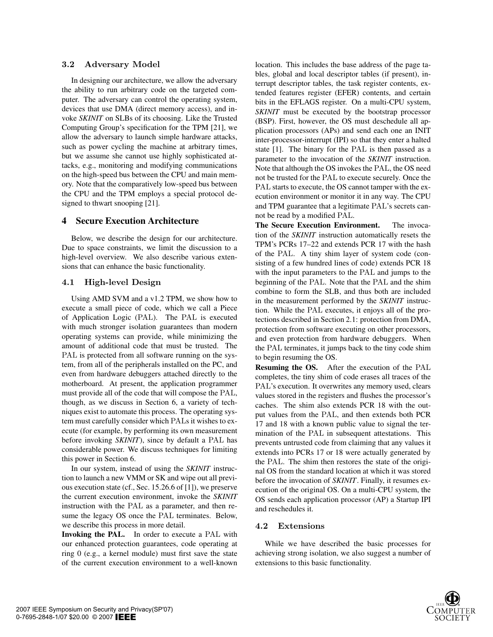# 3.2 Adversary Model

In designing our architecture, we allow the adversary the ability to run arbitrary code on the targeted computer. The adversary can control the operating system, devices that use DMA (direct memory access), and invoke *SKINIT* on SLBs of its choosing. Like the Trusted Computing Group's specification for the TPM [21], we allow the adversary to launch simple hardware attacks, such as power cycling the machine at arbitrary times, but we assume she cannot use highly sophisticated attacks, e.g., monitoring and modifying communications on the high-speed bus between the CPU and main memory. Note that the comparatively low-speed bus between the CPU and the TPM employs a special protocol designed to thwart snooping [21].

# **4 Secure Execution Architecture**

Below, we describe the design for our architecture. Due to space constraints, we limit the discussion to a high-level overview. We also describe various extensions that can enhance the basic functionality.

# 4.1 High-level Design

Using AMD SVM and a v1.2 TPM, we show how to execute a small piece of code, which we call a Piece of Application Logic (PAL). The PAL is executed with much stronger isolation guarantees than modern operating systems can provide, while minimizing the amount of additional code that must be trusted. The PAL is protected from all software running on the system, from all of the peripherals installed on the PC, and even from hardware debuggers attached directly to the motherboard. At present, the application programmer must provide all of the code that will compose the PAL, though, as we discuss in Section 6, a variety of techniques exist to automate this process. The operating system must carefully consider which PALs it wishes to execute (for example, by performing its own measurement before invoking *SKINIT*), since by default a PAL has considerable power. We discuss techniques for limiting this power in Section 6.

In our system, instead of using the *SKINIT* instruction to launch a new VMM or SK and wipe out all previous execution state (cf., Sec. 15.26.6 of [1]), we preserve the current execution environment, invoke the *SKINIT* instruction with the PAL as a parameter, and then resume the legacy OS once the PAL terminates. Below, we describe this process in more detail.

**Invoking the PAL.** In order to execute a PAL with our enhanced protection guarantees, code operating at ring 0 (e.g., a kernel module) must first save the state of the current execution environment to a well-known

location. This includes the base address of the page tables, global and local descriptor tables (if present), interrupt descriptor tables, the task register contents, extended features register (EFER) contents, and certain bits in the EFLAGS register. On a multi-CPU system, *SKINIT* must be executed by the bootstrap processor (BSP). First, however, the OS must deschedule all application processors (APs) and send each one an INIT inter-processor-interrupt (IPI) so that they enter a halted state [1]. The binary for the PAL is then passed as a parameter to the invocation of the *SKINIT* instruction. Note that although the OS invokes the PAL, the OS need not be trusted for the PAL to execute securely. Once the PAL starts to execute, the OS cannot tamper with the execution environment or monitor it in any way. The CPU and TPM guarantee that a legitimate PAL's secrets cannot be read by a modified PAL.

**The Secure Execution Environment.** The invocation of the *SKINIT* instruction automatically resets the TPM's PCRs 17–22 and extends PCR 17 with the hash of the PAL. A tiny shim layer of system code (consisting of a few hundred lines of code) extends PCR 18 with the input parameters to the PAL and jumps to the beginning of the PAL. Note that the PAL and the shim combine to form the SLB, and thus both are included in the measurement performed by the *SKINIT* instruction. While the PAL executes, it enjoys all of the protections described in Section 2.1: protection from DMA, protection from software executing on other processors, and even protection from hardware debuggers. When the PAL terminates, it jumps back to the tiny code shim to begin resuming the OS.

**Resuming the OS.** After the execution of the PAL completes, the tiny shim of code erases all traces of the PAL's execution. It overwrites any memory used, clears values stored in the registers and flushes the processor's caches. The shim also extends PCR 18 with the output values from the PAL, and then extends both PCR 17 and 18 with a known public value to signal the termination of the PAL in subsequent attestations. This prevents untrusted code from claiming that any values it extends into PCRs 17 or 18 were actually generated by the PAL. The shim then restores the state of the original OS from the standard location at which it was stored before the invocation of *SKINIT*. Finally, it resumes execution of the original OS. On a multi-CPU system, the OS sends each application processor (AP) a Startup IPI and reschedules it.

# 4.2 Extensions

While we have described the basic processes for achieving strong isolation, we also suggest a number of extensions to this basic functionality.

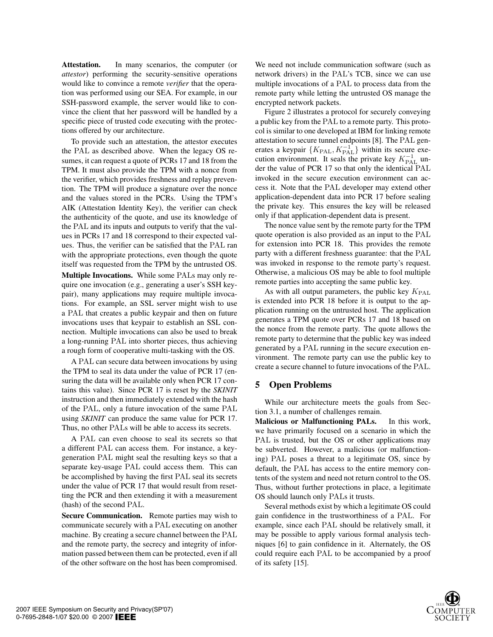**Attestation.** In many scenarios, the computer (or *attestor*) performing the security-sensitive operations would like to convince a remote *verifier* that the operation was performed using our SEA. For example, in our SSH-password example, the server would like to convince the client that her password will be handled by a specific piece of trusted code executing with the protections offered by our architecture.

To provide such an attestation, the attestor executes the PAL as described above. When the legacy OS resumes, it can request a quote of PCRs 17 and 18 from the TPM. It must also provide the TPM with a nonce from the verifier, which provides freshness and replay prevention. The TPM will produce a signature over the nonce and the values stored in the PCRs. Using the TPM's AIK (Attestation Identity Key), the verifier can check the authenticity of the quote, and use its knowledge of the PAL and its inputs and outputs to verify that the values in PCRs 17 and 18 correspond to their expected values. Thus, the verifier can be satisfied that the PAL ran with the appropriate protections, even though the quote itself was requested from the TPM by the untrusted OS.

**Multiple Invocations.** While some PALs may only require one invocation (e.g., generating a user's SSH keypair), many applications may require multiple invocations. For example, an SSL server might wish to use a PAL that creates a public keypair and then on future invocations uses that keypair to establish an SSL connection. Multiple invocations can also be used to break a long-running PAL into shorter pieces, thus achieving a rough form of cooperative multi-tasking with the OS.

A PAL can secure data between invocations by using the TPM to seal its data under the value of PCR 17 (ensuring the data will be available only when PCR 17 contains this value). Since PCR 17 is reset by the *SKINIT* instruction and then immediately extended with the hash of the PAL, only a future invocation of the same PAL using *SKINIT* can produce the same value for PCR 17. Thus, no other PALs will be able to access its secrets.

A PAL can even choose to seal its secrets so that a different PAL can access them. For instance, a keygeneration PAL might seal the resulting keys so that a separate key-usage PAL could access them. This can be accomplished by having the first PAL seal its secrets under the value of PCR 17 that would result from resetting the PCR and then extending it with a measurement (hash) of the second PAL.

**Secure Communication.** Remote parties may wish to communicate securely with a PAL executing on another machine. By creating a secure channel between the PAL and the remote party, the secrecy and integrity of information passed between them can be protected, even if all of the other software on the host has been compromised.

We need not include communication software (such as network drivers) in the PAL's TCB, since we can use multiple invocations of a PAL to process data from the remote party while letting the untrusted OS manage the encrypted network packets.

Figure 2 illustrates a protocol for securely conveying a public key from the PAL to a remote party. This protocol is similar to one developed at IBM for linking remote attestation to secure tunnel endpoints [8]. The PAL generates a keypair  $\{K_{\text{PAL}}, K_{\text{PAL}}^{-1}\}$  within its secure execution environment. It seals the private key  $K_{\text{PAL}}^{-1}$  under the value of PCR 17 so that only the identical PAL invoked in the secure execution environment can access it. Note that the PAL developer may extend other application-dependent data into PCR 17 before sealing the private key. This ensures the key will be released only if that application-dependent data is present.

The nonce value sent by the remote party for the TPM quote operation is also provided as an input to the PAL for extension into PCR 18. This provides the remote party with a different freshness guarantee: that the PAL was invoked in response to the remote party's request. Otherwise, a malicious OS may be able to fool multiple remote parties into accepting the same public key.

As with all output parameters, the public key  $K_{\mathrm{PAL}}$ is extended into PCR 18 before it is output to the application running on the untrusted host. The application generates a TPM quote over PCRs 17 and 18 based on the nonce from the remote party. The quote allows the remote party to determine that the public key was indeed generated by a PAL running in the secure execution environment. The remote party can use the public key to create a secure channel to future invocations of the PAL.

# **5 Open Problems**

While our architecture meets the goals from Section 3.1, a number of challenges remain.

**Malicious or Malfunctioning PALs.** In this work, we have primarily focused on a scenario in which the PAL is trusted, but the OS or other applications may be subverted. However, a malicious (or malfunctioning) PAL poses a threat to a legitimate OS, since by default, the PAL has access to the entire memory contents of the system and need not return control to the OS. Thus, without further protections in place, a legitimate OS should launch only PALs it trusts.

Several methods exist by which a legitimate OS could gain confidence in the trustworthiness of a PAL. For example, since each PAL should be relatively small, it may be possible to apply various formal analysis techniques [6] to gain confidence in it. Alternately, the OS could require each PAL to be accompanied by a proof of its safety [15].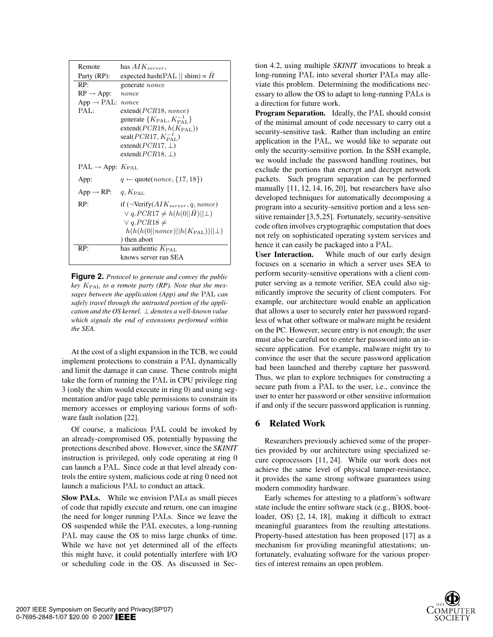| Remote                               | has $AIK$ <sub>server</sub> .                        |
|--------------------------------------|------------------------------------------------------|
| Party (RP):                          | expected hash(PAL $   \text{shim}) = \hat{H}$        |
| RP:                                  | generate nonce                                       |
| $RP \rightarrow App:$                | nonce                                                |
| $App \rightarrow PAL: \textit{none}$ |                                                      |
| PAL:                                 | extend $(PCR18, none)$                               |
|                                      | generate $\{K_{\text{PAL}}, K_{\text{PAL}}^{-1}\}$   |
|                                      | extend( $PCR18, h(KPAL)$ )                           |
|                                      | seal( $PCR17, K_{\text{PAL}}^{-1}$ )                 |
|                                      | extend( $PCR17, \perp$ )                             |
|                                      | extend( $PCR18, \perp$ )                             |
| $PAL \rightarrow App: K_{PAL}$       |                                                      |
| App:                                 | $q \leftarrow \text{quote}(none, \{17, 18\})$        |
| $App \rightarrow RP: q, K_{PAL}$     |                                                      |
| RP:                                  | if $(\neg Verify(AIK_{server}, q, nonce)$            |
|                                      | $\vee$ q.PCR17 $\neq h(h(0  H)  \perp)$              |
|                                      | $\vee$ q.PCR18 $\neq$                                |
|                                      | $h(h(h(0  \text{nonce})  h(K_{\text{PAL}}))  \perp)$ |
|                                      | ) then abort                                         |
| RP:                                  | has authentic $K_{\text{PAL}}$                       |
|                                      | knows server ran SEA                                 |

**Figure 2.** *Protocol to generate and convey the public key* KPAL *to a remote party (RP). Note that the messages between the application (App) and the* PAL *can safely travel through the untrusted portion of the application and the OS kernel.* ⊥ *denotes a well-known value which signals the end of extensions performed within the SEA.*

At the cost of a slight expansion in the TCB, we could implement protections to constrain a PAL dynamically and limit the damage it can cause. These controls might take the form of running the PAL in CPU privilege ring 3 (only the shim would execute in ring 0) and using segmentation and/or page table permissions to constrain its memory accesses or employing various forms of software fault isolation [22].

Of course, a malicious PAL could be invoked by an already-compromised OS, potentially bypassing the protections described above. However, since the *SKINIT* instruction is privileged, only code operating at ring 0 can launch a PAL. Since code at that level already controls the entire system, malicious code at ring 0 need not launch a malicious PAL to conduct an attack.

**Slow PALs.** While we envision PALs as small pieces of code that rapidly execute and return, one can imagine the need for longer running PALs. Since we leave the OS suspended while the PAL executes, a long-running PAL may cause the OS to miss large chunks of time. While we have not yet determined all of the effects this might have, it could potentially interfere with I/O or scheduling code in the OS. As discussed in Sec-

tion 4.2, using multiple *SKINIT* invocations to break a long-running PAL into several shorter PALs may alleviate this problem. Determining the modifications necessary to allow the OS to adapt to long-running PALs is a direction for future work.

**Program Separation.** Ideally, the PAL should consist of the minimal amount of code necessary to carry out a security-sensitive task. Rather than including an entire application in the PAL, we would like to separate out only the security-sensitive portion. In the SSH example, we would include the password handling routines, but exclude the portions that encrypt and decrypt network packets. Such program separation can be performed manually [11, 12, 14, 16, 20], but researchers have also developed techniques for automatically decomposing a program into a security-sensitive portion and a less sensitive remainder [3,5,25]. Fortunately, security-sensitive code often involves cryptographic computation that does not rely on sophisticated operating system services and hence it can easily be packaged into a PAL.

**User Interaction.** While much of our early design focuses on a scenario in which a server uses SEA to perform security-sensitive operations with a client computer serving as a remote verifier, SEA could also significantly improve the security of client computers. For example, our architecture would enable an application that allows a user to securely enter her password regardless of what other software or malware might be resident on the PC. However, secure entry is not enough; the user must also be careful not to enter her password into an insecure application. For example, malware might try to convince the user that the secure password application had been launched and thereby capture her password. Thus, we plan to explore techniques for constructing a secure path from a PAL to the user, i.e., convince the user to enter her password or other sensitive information if and only if the secure password application is running.

# **6 Related Work**

Researchers previously achieved some of the properties provided by our architecture using specialized secure coprocessors [11, 24]. While our work does not achieve the same level of physical tamper-resistance, it provides the same strong software guarantees using modern commodity hardware.

Early schemes for attesting to a platform's software state include the entire software stack (e.g., BIOS, bootloader, OS) [2, 14, 18], making it difficult to extract meaningful guarantees from the resulting attestations. Property-based attestation has been proposed [17] as a mechanism for providing meaningful attestations; unfortunately, evaluating software for the various properties of interest remains an open problem.